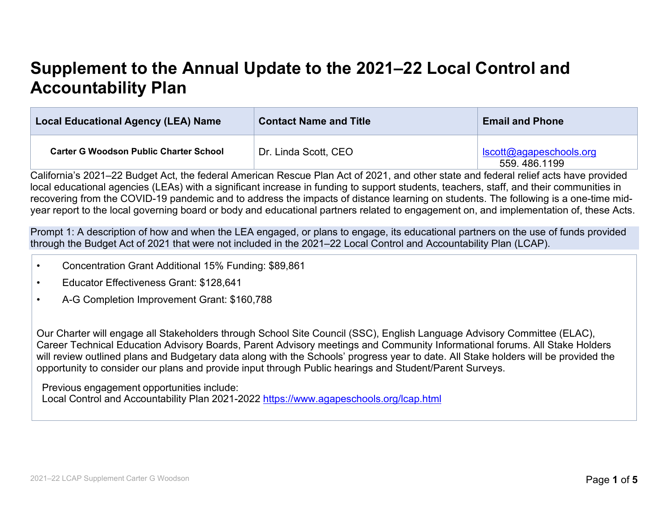# **Supplement to the Annual Update to the 2021–22 Local Control and Accountability Plan**

| <b>Local Educational Agency (LEA) Name</b>    | <b>Contact Name and Title</b> | <b>Email and Phone</b>                   |
|-----------------------------------------------|-------------------------------|------------------------------------------|
| <b>Carter G Woodson Public Charter School</b> | Dr. Linda Scott, CEO          | scott@agapeschools.org<br>559, 486, 1199 |

California's 2021–22 Budget Act, the federal American Rescue Plan Act of 2021, and other state and federal relief acts have provided local educational agencies (LEAs) with a significant increase in funding to support students, teachers, staff, and their communities in recovering from the COVID-19 pandemic and to address the impacts of distance learning on students. The following is a one-time midyear report to the local governing board or body and educational partners related to engagement on, and implementation of, these Acts.

Prompt 1: A description of how and when the LEA engaged, or plans to engage, its educational partners on the use of funds provided through the Budget Act of 2021 that were not included in the 2021–22 Local Control and Accountability Plan (LCAP).

- Concentration Grant Additional 15% Funding: \$89,861
- Educator Effectiveness Grant: \$128,641
- A-G Completion Improvement Grant: \$160,788

Our Charter will engage all Stakeholders through School Site Council (SSC), English Language Advisory Committee (ELAC), Career Technical Education Advisory Boards, Parent Advisory meetings and Community Informational forums. All Stake Holders will review outlined plans and Budgetary data along with the Schools' progress year to date. All Stake holders will be provided the opportunity to consider our plans and provide input through Public hearings and Student/Parent Surveys.

Previous engagement opportunities include: Local Control and Accountability Plan 2021-2022 <https://www.agapeschools.org/lcap.html>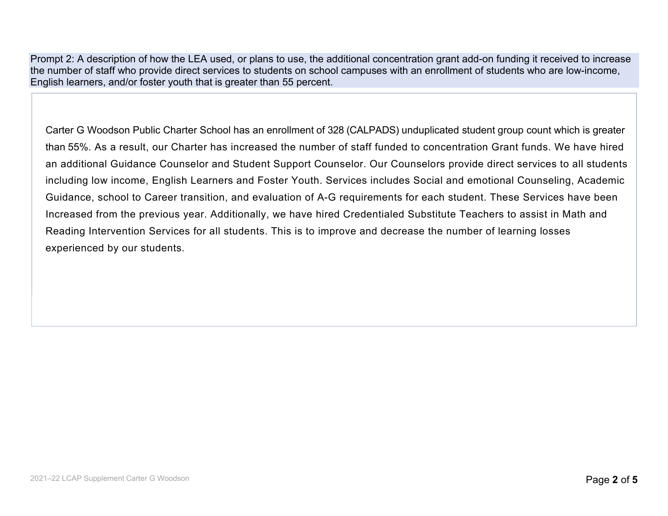Prompt 2: A description of how the LEA used, or plans to use, the additional concentration grant add-on funding it received to increase the number of staff who provide direct services to students on school campuses with an enrollment of students who are low-income, English learners, and/or foster youth that is greater than 55 percent.

Carter G Woodson Public Charter School has an enrollment of 328 (CALPADS) unduplicated student group count which is greater than 55%. As a result, our Charter has increased the number of staff funded to concentration Grant funds. We have hired an additional Guidance Counselor and Student Support Counselor. Our Counselors provide direct services to all students including low income, English Learners and Foster Youth. Services includes Social and emotional Counseling, Academic Guidance, school to Career transition, and evaluation of A-G requirements for each student. These Services have been Increased from the previous year. Additionally, we have hired Credentialed Substitute Teachers to assist in Math and Reading Intervention Services for all students. This is to improve and decrease the number of learning losses experienced by our students.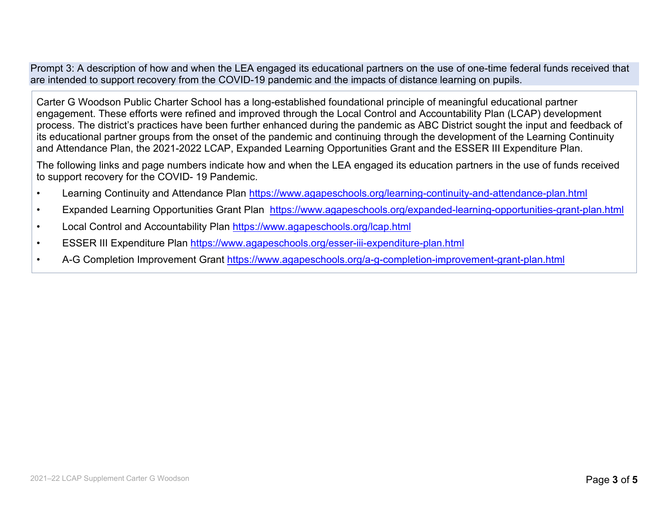Prompt 3: A description of how and when the LEA engaged its educational partners on the use of one-time federal funds received that are intended to support recovery from the COVID-19 pandemic and the impacts of distance learning on pupils.

Carter G Woodson Public Charter School has a long-established foundational principle of meaningful educational partner engagement. These efforts were refined and improved through the Local Control and Accountability Plan (LCAP) development process. The district's practices have been further enhanced during the pandemic as ABC District sought the input and feedback of its educational partner groups from the onset of the pandemic and continuing through the development of the Learning Continuity and Attendance Plan, the 2021-2022 LCAP, Expanded Learning Opportunities Grant and the ESSER III Expenditure Plan.

The following links and page numbers indicate how and when the LEA engaged its education partners in the use of funds received to support recovery for the COVID- 19 Pandemic.

- Learning Continuity and Attendance Plan<https://www.agapeschools.org/learning-continuity-and-attendance-plan.html>
- Expanded Learning Opportunities Grant Plan <https://www.agapeschools.org/expanded-learning-opportunities-grant-plan.html>
- Local Control and Accountability Plan<https://www.agapeschools.org/lcap.html>
- ESSER III Expenditure Plan<https://www.agapeschools.org/esser-iii-expenditure-plan.html>
- A-G Completion Improvement Grant <https://www.agapeschools.org/a-g-completion-improvement-grant-plan.html>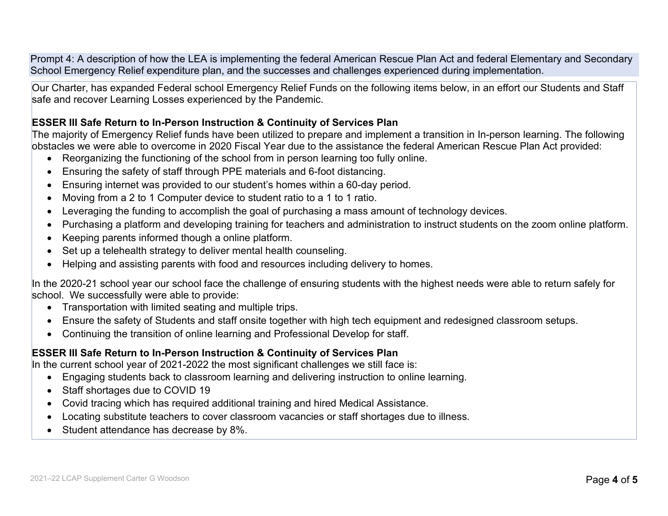Prompt 4: A description of how the LEA is implementing the federal American Rescue Plan Act and federal Elementary and Secondary School Emergency Relief expenditure plan, and the successes and challenges experienced during implementation.

Our Charter, has expanded Federal school Emergency Relief Funds on the following items below, in an effort our Students and Staff safe and recover Learning Losses experienced by the Pandemic.

#### **ESSER III Safe Return to In-Person Instruction & Continuity of Services Plan**

The majority of Emergency Relief funds have been utilized to prepare and implement a transition in In-person learning. The following obstacles we were able to overcome in 2020 Fiscal Year due to the assistance the federal American Rescue Plan Act provided:

- Reorganizing the functioning of the school from in person learning too fully online.
- Ensuring the safety of staff through PPE materials and 6-foot distancing.
- Ensuring internet was provided to our student's homes within a 60-day period.
- Moving from a 2 to 1 Computer device to student ratio to a 1 to 1 ratio.
- Leveraging the funding to accomplish the goal of purchasing a mass amount of technology devices.
- Purchasing a platform and developing training for teachers and administration to instruct students on the zoom online platform.
- Keeping parents informed though a online platform.
- Set up a telehealth strategy to deliver mental health counseling.
- Helping and assisting parents with food and resources including delivery to homes.

In the 2020-21 school year our school face the challenge of ensuring students with the highest needs were able to return safely for school. We successfully were able to provide:

- Transportation with limited seating and multiple trips.
- Ensure the safety of Students and staff onsite together with high tech equipment and redesigned classroom setups.
- Continuing the transition of online learning and Professional Develop for staff.

#### **ESSER III Safe Return to In-Person Instruction & Continuity of Services Plan**

In the current school year of 2021-2022 the most significant challenges we still face is:

- Engaging students back to classroom learning and delivering instruction to online learning.
- Staff shortages due to COVID 19
- Covid tracing which has required additional training and hired Medical Assistance.
- Locating substitute teachers to cover classroom vacancies or staff shortages due to illness.
- Student attendance has decrease by 8%.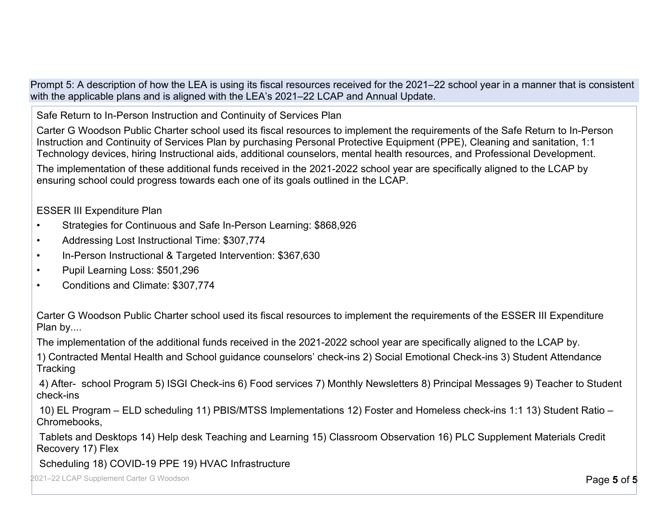Prompt 5: A description of how the LEA is using its fiscal resources received for the 2021–22 school year in a manner that is consistent with the applicable plans and is aligned with the LEA's 2021–22 LCAP and Annual Update.

Safe Return to In-Person Instruction and Continuity of Services Plan

Carter G Woodson Public Charter school used its fiscal resources to implement the requirements of the Safe Return to In-Person Instruction and Continuity of Services Plan by purchasing Personal Protective Equipment (PPE), Cleaning and sanitation, 1:1 Technology devices, hiring Instructional aids, additional counselors, mental health resources, and Professional Development.

The implementation of these additional funds received in the 2021-2022 school year are specifically aligned to the LCAP by ensuring school could progress towards each one of its goals outlined in the LCAP.

ESSER III Expenditure Plan

- Strategies for Continuous and Safe In-Person Learning: \$868,926
- Addressing Lost Instructional Time: \$307,774
- In-Person Instructional & Targeted Intervention: \$367,630
- Pupil Learning Loss: \$501,296
- Conditions and Climate: \$307,774

Carter G Woodson Public Charter school used its fiscal resources to implement the requirements of the ESSER III Expenditure Plan by....

The implementation of the additional funds received in the 2021-2022 school year are specifically aligned to the LCAP by.

1) Contracted Mental Health and School guidance counselors' check-ins 2) Social Emotional Check-ins 3) Student Attendance **Tracking** 

4) After- school Program 5) ISGI Check-ins 6) Food services 7) Monthly Newsletters 8) Principal Messages 9) Teacher to Student check-ins

10) EL Program – ELD scheduling 11) PBIS/MTSS Implementations 12) Foster and Homeless check-ins 1:1 13) Student Ratio – Chromebooks,

Tablets and Desktops 14) Help desk Teaching and Learning 15) Classroom Observation 16) PLC Supplement Materials Credit Recovery 17) Flex

Scheduling 18) COVID-19 PPE 19) HVAC Infrastructure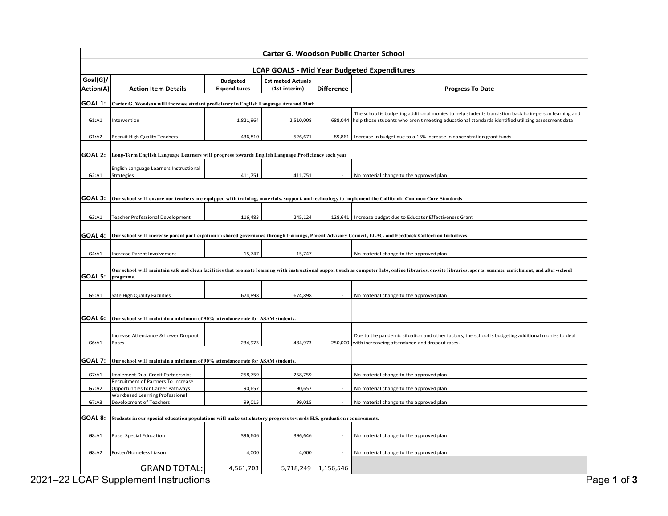| <b>Carter G. Woodson Public Charter School</b>                                                                                 |                                                                                                  |                     |                          |                   |                                                                                                                                                                                                                    |  |  |  |
|--------------------------------------------------------------------------------------------------------------------------------|--------------------------------------------------------------------------------------------------|---------------------|--------------------------|-------------------|--------------------------------------------------------------------------------------------------------------------------------------------------------------------------------------------------------------------|--|--|--|
| <b>LCAP GOALS - Mid Year Budgeted Expenditures</b>                                                                             |                                                                                                  |                     |                          |                   |                                                                                                                                                                                                                    |  |  |  |
| Goal(G)/                                                                                                                       |                                                                                                  | <b>Budgeted</b>     | <b>Estimated Actuals</b> |                   |                                                                                                                                                                                                                    |  |  |  |
| Action(A)                                                                                                                      | <b>Action Item Details</b>                                                                       | <b>Expenditures</b> | (1st interim)            | <b>Difference</b> | <b>Progress To Date</b>                                                                                                                                                                                            |  |  |  |
| GOAL 1:                                                                                                                        | Carter G. Woodson will increase student proficiency in English Language Arts and Math            |                     |                          |                   |                                                                                                                                                                                                                    |  |  |  |
| G1: A1                                                                                                                         | Intervention                                                                                     | 1,821,964           | 2,510,008                |                   | The school is budgeting additional monies to help students transistion back to in-person learning and<br>688,044 help those students who aren't meeting educational standards identified utilizing assessment data |  |  |  |
|                                                                                                                                |                                                                                                  |                     |                          |                   |                                                                                                                                                                                                                    |  |  |  |
| G1: A2                                                                                                                         | Recruit High Quality Teachers                                                                    | 436,810             | 526,671                  | 89,861            | Increase in budget due to a 15% increase in concentration grant funds                                                                                                                                              |  |  |  |
| <b>GOAL 2:</b>                                                                                                                 | Long-Term English Language Learners will progress towards English Language Proficiency each year |                     |                          |                   |                                                                                                                                                                                                                    |  |  |  |
|                                                                                                                                | English Language Learners Instructional                                                          |                     |                          |                   |                                                                                                                                                                                                                    |  |  |  |
| G2: A1                                                                                                                         | Strategies                                                                                       | 411,751             | 411,751                  |                   | No material change to the approved plan                                                                                                                                                                            |  |  |  |
|                                                                                                                                |                                                                                                  |                     |                          |                   |                                                                                                                                                                                                                    |  |  |  |
| GOAL 3:                                                                                                                        |                                                                                                  |                     |                          |                   | Our school will ensure our teachers are equipped with training, materials, support, and technology to implement the California Common Core Standards                                                               |  |  |  |
|                                                                                                                                |                                                                                                  |                     |                          |                   |                                                                                                                                                                                                                    |  |  |  |
| G3:A1                                                                                                                          | <b>Teacher Professional Development</b>                                                          | 116,483             | 245,124                  | 128,641           | Increase budget due to Educator Effectiveness Grant                                                                                                                                                                |  |  |  |
|                                                                                                                                |                                                                                                  |                     |                          |                   |                                                                                                                                                                                                                    |  |  |  |
| GOAL 4:                                                                                                                        |                                                                                                  |                     |                          |                   | Our school will increase parent participation in shared governance through trainings, Parent Advisory Council, ELAC, and Feedback Collection Initiatives.                                                          |  |  |  |
| G4:A1                                                                                                                          | Increase Parent Involvement                                                                      | 15,747              | 15,747                   |                   | No material change to the approved plan                                                                                                                                                                            |  |  |  |
|                                                                                                                                |                                                                                                  |                     |                          |                   |                                                                                                                                                                                                                    |  |  |  |
| GOAL 5:                                                                                                                        | programs.                                                                                        |                     |                          |                   | Our school will maintain safe and clean facilities that promote learning with instructional support such as computer labs, online libraries, on-site libraries, sports, summer enrichment, and after-school        |  |  |  |
|                                                                                                                                |                                                                                                  |                     |                          |                   |                                                                                                                                                                                                                    |  |  |  |
| G5:A1                                                                                                                          | Safe High Quality Facilities                                                                     | 674,898             | 674,898                  |                   | No material change to the approved plan                                                                                                                                                                            |  |  |  |
|                                                                                                                                |                                                                                                  |                     |                          |                   |                                                                                                                                                                                                                    |  |  |  |
| GOAL 6:                                                                                                                        | Our school will maintain a minimum of 90% attendance rate for ASAM students.                     |                     |                          |                   |                                                                                                                                                                                                                    |  |  |  |
|                                                                                                                                |                                                                                                  |                     |                          |                   |                                                                                                                                                                                                                    |  |  |  |
| G6:A1                                                                                                                          | Increase Attendance & Lower Dropout<br>Rates                                                     | 234,973             | 484,973                  |                   | Due to the pandemic situation and other factors, the school is budgeting additional monies to deal<br>250,000 with increaseing attendance and dropout rates.                                                       |  |  |  |
|                                                                                                                                |                                                                                                  |                     |                          |                   |                                                                                                                                                                                                                    |  |  |  |
| <b>GOAL 7:</b>                                                                                                                 | Our school will maintain a minimum of 90% attendance rate for ASAM students.                     |                     |                          |                   |                                                                                                                                                                                                                    |  |  |  |
| G7:A1                                                                                                                          | <b>Implement Dual Credit Partnerships</b>                                                        | 258,759             | 258,759                  |                   | No material change to the approved plan                                                                                                                                                                            |  |  |  |
| G7:A2                                                                                                                          | Recruitment of Partners To Increase<br>Opportunities for Career Pathways                         | 90,657              | 90,657                   |                   | No material change to the approved plan                                                                                                                                                                            |  |  |  |
|                                                                                                                                | Workbased Learning Professional                                                                  |                     |                          |                   |                                                                                                                                                                                                                    |  |  |  |
| G7: A3                                                                                                                         | Development of Teachers                                                                          | 99,015              | 99,015                   |                   | No material change to the approved plan                                                                                                                                                                            |  |  |  |
| GOAL 8:<br>Students in our special education populations will make satisfactory progress towards H.S. graduation requirements. |                                                                                                  |                     |                          |                   |                                                                                                                                                                                                                    |  |  |  |
| G8:A1                                                                                                                          |                                                                                                  |                     |                          |                   | No material change to the approved plan                                                                                                                                                                            |  |  |  |
|                                                                                                                                | Base: Special Education                                                                          | 396,646             | 396,646                  |                   |                                                                                                                                                                                                                    |  |  |  |
| G8:A2                                                                                                                          | Foster/Homeless Liason                                                                           | 4,000               | 4,000                    |                   | No material change to the approved plan                                                                                                                                                                            |  |  |  |
|                                                                                                                                | <b>GRAND TOTAL:</b>                                                                              | 4,561,703           | 5,718,249                | 1,156,546         |                                                                                                                                                                                                                    |  |  |  |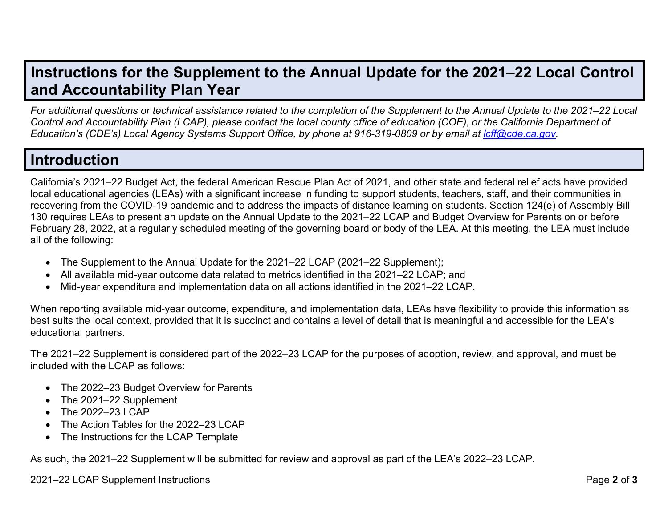### **Instructions for the Supplement to the Annual Update for the 2021–22 Local Control and Accountability Plan Year**

*For additional questions or technical assistance related to the completion of the Supplement to the Annual Update to the 2021–22 Local* Control and Accountability Plan (LCAP), please contact the local county office of education (COE), or the California Department of Education's (CDE's) Local Agency Systems Support Office, by phone at 916-319-0809 or by email at Icff@cde.ca.gov.

## **Introduction**

California's 2021–22 Budget Act, the federal American Rescue Plan Act of 2021, and other state and federal relief acts have provided local educational agencies (LEAs) with a significant increase in funding to support students, teachers, staff, and their communities in recovering from the COVID-19 pandemic and to address the impacts of distance learning on students. Section 124(e) of Assembly Bill 130 requires LEAs to present an update on the Annual Update to the 2021–22 LCAP and Budget Overview for Parents on or before February 28, 2022, at a regularly scheduled meeting of the governing board or body of the LEA. At this meeting, the LEA must include all of the following:

- The Supplement to the Annual Update for the 2021–22 LCAP (2021–22 Supplement);
- All available mid-year outcome data related to metrics identified in the 2021–22 LCAP; and
- Mid-year expenditure and implementation data on all actions identified in the 2021–22 LCAP.

When reporting available mid-year outcome, expenditure, and implementation data, LEAs have flexibility to provide this information as best suits the local context, provided that it is succinct and contains a level of detail that is meaningful and accessible for the LEA's educational partners.

The 2021–22 Supplement is considered part of the 2022–23 LCAP for the purposes of adoption, review, and approval, and must be included with the LCAP as follows:

- The 2022–23 Budget Overview for Parents
- The 2021–22 Supplement
- The 2022-23 LCAP
- The Action Tables for the 2022–23 LCAP
- The Instructions for the LCAP Template

As such, the 2021–22 Supplement will be submitted for review and approval as part of the LEA's 2022–23 LCAP.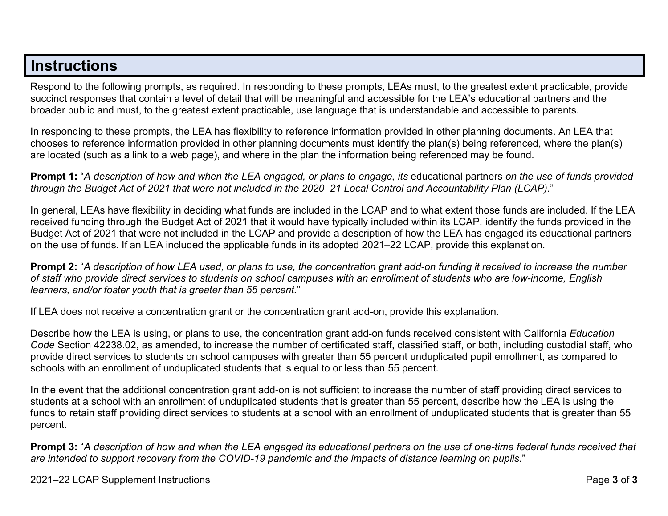### **Instructions**

Respond to the following prompts, as required. In responding to these prompts, LEAs must, to the greatest extent practicable, provide succinct responses that contain a level of detail that will be meaningful and accessible for the LEA's educational partners and the broader public and must, to the greatest extent practicable, use language that is understandable and accessible to parents.

In responding to these prompts, the LEA has flexibility to reference information provided in other planning documents. An LEA that chooses to reference information provided in other planning documents must identify the plan(s) being referenced, where the plan(s) are located (such as a link to a web page), and where in the plan the information being referenced may be found.

**Prompt 1:** "*A description of how and when the LEA engaged, or plans to engage, its* educational partners *on the use of funds provided* through the Budget Act of 2021 that were not included in the 2020–21 Local Control and Accountability Plan (LCAP)."

In general, LEAs have flexibility in deciding what funds are included in the LCAP and to what extent those funds are included. If the LEA received funding through the Budget Act of 2021 that it would have typically included within its LCAP, identify the funds provided in the Budget Act of 2021 that were not included in the LCAP and provide a description of how the LEA has engaged its educational partners on the use of funds. If an LEA included the applicable funds in its adopted 2021–22 LCAP, provide this explanation.

**Prompt 2:** "A description of how LEA used, or plans to use, the concentration grant add-on funding it received to increase the number *of staff who provide direct services to students on school campuses with an enrollment of students who are low-income, English learners, and/or foster youth that is greater than 55 percent.*"

If LEA does not receive a concentration grant or the concentration grant add-on, provide this explanation.

Describe how the LEA is using, or plans to use, the concentration grant add-on funds received consistent with California *Education Code* Section 42238.02, as amended, to increase the number of certificated staff, classified staff, or both, including custodial staff, who provide direct services to students on school campuses with greater than 55 percent unduplicated pupil enrollment, as compared to schools with an enrollment of unduplicated students that is equal to or less than 55 percent.

In the event that the additional concentration grant add-on is not sufficient to increase the number of staff providing direct services to students at a school with an enrollment of unduplicated students that is greater than 55 percent, describe how the LEA is using the funds to retain staff providing direct services to students at a school with an enrollment of unduplicated students that is greater than 55 percent.

**Prompt 3:** "*A description of how and when the LEA engaged its educational partners on the use of one-time federal funds received that* are intended to support recovery from the COVID-19 pandemic and the impacts of distance learning on pupils."

2021–22 LCAP Supplement Instructions Page **3** of **3**